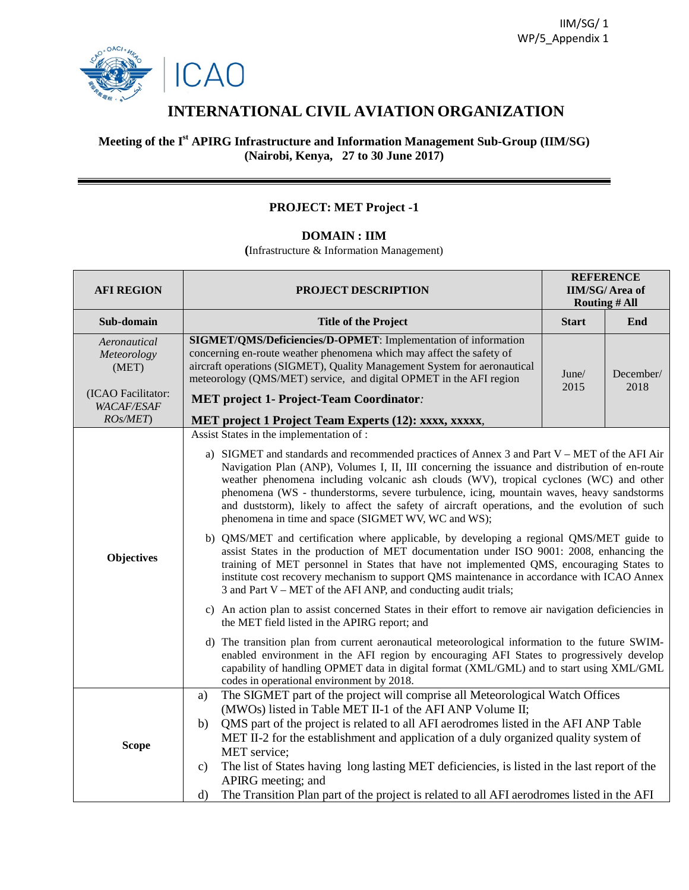



# **INTERNATIONAL CIVIL AVIATION ORGANIZATION**

#### **Meeting of the I st APIRG Infrastructure and Information Management Sub-Group (IIM/SG) (Nairobi, Kenya, 27 to 30 June 2017)**

## **PROJECT: MET Project -1**

## **DOMAIN : IIM**

**(**Infrastructure & Information Management)

| <b>AFI REGION</b>                       | PROJECT DESCRIPTION                                                                                                                                                                                                                                                                                                                                                                                                                                                                                                                                                                                                                                                                                                                                                                                                                                                                                                                                                                                                                                                                                                                                                                                                                                                                                                                                                                                                                                                                                   | <b>REFERENCE</b><br><b>IIM/SG/Area of</b><br><b>Routing # All</b> |     |  |  |  |  |
|-----------------------------------------|-------------------------------------------------------------------------------------------------------------------------------------------------------------------------------------------------------------------------------------------------------------------------------------------------------------------------------------------------------------------------------------------------------------------------------------------------------------------------------------------------------------------------------------------------------------------------------------------------------------------------------------------------------------------------------------------------------------------------------------------------------------------------------------------------------------------------------------------------------------------------------------------------------------------------------------------------------------------------------------------------------------------------------------------------------------------------------------------------------------------------------------------------------------------------------------------------------------------------------------------------------------------------------------------------------------------------------------------------------------------------------------------------------------------------------------------------------------------------------------------------------|-------------------------------------------------------------------|-----|--|--|--|--|
| Sub-domain                              | <b>Title of the Project</b>                                                                                                                                                                                                                                                                                                                                                                                                                                                                                                                                                                                                                                                                                                                                                                                                                                                                                                                                                                                                                                                                                                                                                                                                                                                                                                                                                                                                                                                                           | <b>Start</b>                                                      | End |  |  |  |  |
| Aeronautical<br>Meteorology<br>(MET)    | SIGMET/QMS/Deficiencies/D-OPMET: Implementation of information<br>concerning en-route weather phenomena which may affect the safety of<br>aircraft operations (SIGMET), Quality Management System for aeronautical<br>meteorology (QMS/MET) service, and digital OPMET in the AFI region                                                                                                                                                                                                                                                                                                                                                                                                                                                                                                                                                                                                                                                                                                                                                                                                                                                                                                                                                                                                                                                                                                                                                                                                              | June/<br>December/<br>2015<br>2018                                |     |  |  |  |  |
| (ICAO Facilitator:<br><b>WACAF/ESAF</b> | <b>MET</b> project 1- Project-Team Coordinator:                                                                                                                                                                                                                                                                                                                                                                                                                                                                                                                                                                                                                                                                                                                                                                                                                                                                                                                                                                                                                                                                                                                                                                                                                                                                                                                                                                                                                                                       |                                                                   |     |  |  |  |  |
| ROS/MET)                                | MET project 1 Project Team Experts (12): xxxx, xxxxx,                                                                                                                                                                                                                                                                                                                                                                                                                                                                                                                                                                                                                                                                                                                                                                                                                                                                                                                                                                                                                                                                                                                                                                                                                                                                                                                                                                                                                                                 |                                                                   |     |  |  |  |  |
| Objectives                              | Assist States in the implementation of :<br>a) SIGMET and standards and recommended practices of Annex 3 and Part $V - MET$ of the AFI Air<br>Navigation Plan (ANP), Volumes I, II, III concerning the issuance and distribution of en-route<br>weather phenomena including volcanic ash clouds (WV), tropical cyclones (WC) and other<br>phenomena (WS - thunderstorms, severe turbulence, icing, mountain waves, heavy sandstorms<br>and duststorm), likely to affect the safety of aircraft operations, and the evolution of such<br>phenomena in time and space (SIGMET WV, WC and WS);<br>b) QMS/MET and certification where applicable, by developing a regional QMS/MET guide to<br>assist States in the production of MET documentation under ISO 9001: 2008, enhancing the<br>training of MET personnel in States that have not implemented QMS, encouraging States to<br>institute cost recovery mechanism to support QMS maintenance in accordance with ICAO Annex<br>3 and Part V – MET of the AFI ANP, and conducting audit trials;<br>c) An action plan to assist concerned States in their effort to remove air navigation deficiencies in<br>the MET field listed in the APIRG report; and<br>d) The transition plan from current aeronautical meteorological information to the future SWIM-<br>enabled environment in the AFI region by encouraging AFI States to progressively develop<br>capability of handling OPMET data in digital format (XML/GML) and to start using XML/GML |                                                                   |     |  |  |  |  |
| <b>Scope</b>                            | The SIGMET part of the project will comprise all Meteorological Watch Offices<br>a)<br>(MWOs) listed in Table MET II-1 of the AFI ANP Volume II;<br>QMS part of the project is related to all AFI aerodromes listed in the AFI ANP Table<br>b)<br>MET II-2 for the establishment and application of a duly organized quality system of<br>MET service;<br>The list of States having long lasting MET deficiencies, is listed in the last report of the<br>c)<br>APIRG meeting; and<br>The Transition Plan part of the project is related to all AFI aerodromes listed in the AFI<br>$\mathbf{d}$                                                                                                                                                                                                                                                                                                                                                                                                                                                                                                                                                                                                                                                                                                                                                                                                                                                                                                      |                                                                   |     |  |  |  |  |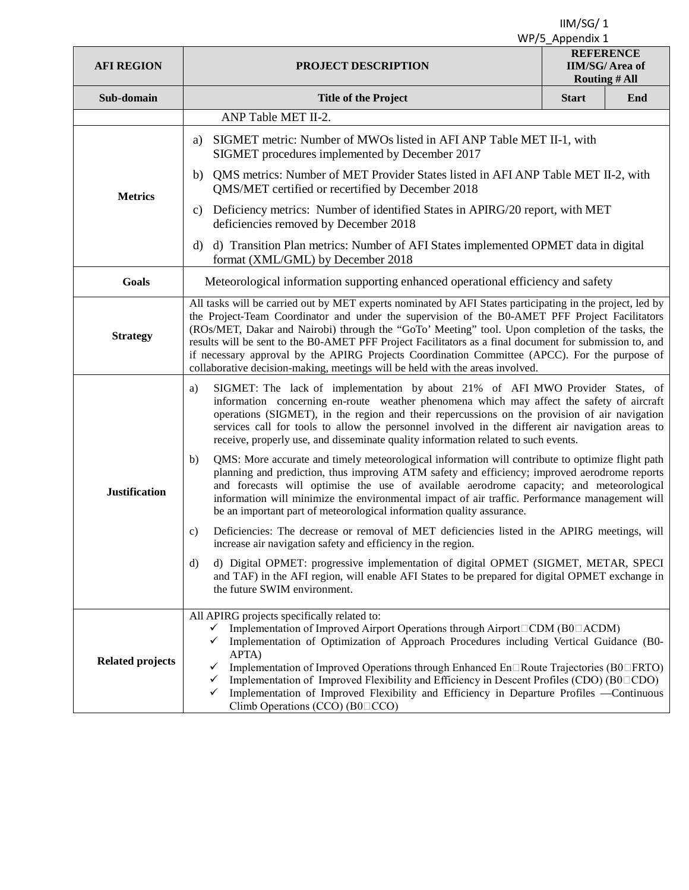| <b>AFI REGION</b>       | PROJECT DESCRIPTION                                                                                                                                                                                                                                                                                                                                                                                                                                                                                                                                                                                                             | <b>REFERENCE</b><br><b>IIM/SG/Area of</b><br><b>Routing # All</b> |     |  |  |  |  |  |
|-------------------------|---------------------------------------------------------------------------------------------------------------------------------------------------------------------------------------------------------------------------------------------------------------------------------------------------------------------------------------------------------------------------------------------------------------------------------------------------------------------------------------------------------------------------------------------------------------------------------------------------------------------------------|-------------------------------------------------------------------|-----|--|--|--|--|--|
| Sub-domain              | <b>Title of the Project</b>                                                                                                                                                                                                                                                                                                                                                                                                                                                                                                                                                                                                     | <b>Start</b>                                                      | End |  |  |  |  |  |
|                         | ANP Table MET II-2.                                                                                                                                                                                                                                                                                                                                                                                                                                                                                                                                                                                                             |                                                                   |     |  |  |  |  |  |
| <b>Metrics</b>          | SIGMET metric: Number of MWOs listed in AFI ANP Table MET II-1, with<br>a)<br>SIGMET procedures implemented by December 2017                                                                                                                                                                                                                                                                                                                                                                                                                                                                                                    |                                                                   |     |  |  |  |  |  |
|                         | QMS metrics: Number of MET Provider States listed in AFI ANP Table MET II-2, with<br>b)<br>QMS/MET certified or recertified by December 2018                                                                                                                                                                                                                                                                                                                                                                                                                                                                                    |                                                                   |     |  |  |  |  |  |
|                         | c) Deficiency metrics: Number of identified States in APIRG/20 report, with MET<br>deficiencies removed by December 2018                                                                                                                                                                                                                                                                                                                                                                                                                                                                                                        |                                                                   |     |  |  |  |  |  |
|                         | d) Transition Plan metrics: Number of AFI States implemented OPMET data in digital<br>d)<br>format (XML/GML) by December 2018                                                                                                                                                                                                                                                                                                                                                                                                                                                                                                   |                                                                   |     |  |  |  |  |  |
| Goals                   | Meteorological information supporting enhanced operational efficiency and safety                                                                                                                                                                                                                                                                                                                                                                                                                                                                                                                                                |                                                                   |     |  |  |  |  |  |
| <b>Strategy</b>         | All tasks will be carried out by MET experts nominated by AFI States participating in the project, led by<br>the Project-Team Coordinator and under the supervision of the BO-AMET PFF Project Facilitators<br>(ROs/MET, Dakar and Nairobi) through the "GoTo' Meeting" tool. Upon completion of the tasks, the<br>results will be sent to the B0-AMET PFF Project Facilitators as a final document for submission to, and<br>if necessary approval by the APIRG Projects Coordination Committee (APCC). For the purpose of<br>collaborative decision-making, meetings will be held with the areas involved.                    |                                                                   |     |  |  |  |  |  |
| <b>Justification</b>    | SIGMET: The lack of implementation by about 21% of AFI MWO Provider States, of<br>a)<br>information concerning en-route weather phenomena which may affect the safety of aircraft<br>operations (SIGMET), in the region and their repercussions on the provision of air navigation<br>services call for tools to allow the personnel involved in the different air navigation areas to<br>receive, properly use, and disseminate quality information related to such events.                                                                                                                                                    |                                                                   |     |  |  |  |  |  |
|                         | QMS: More accurate and timely meteorological information will contribute to optimize flight path<br>b)<br>planning and prediction, thus improving ATM safety and efficiency; improved aerodrome reports<br>and forecasts will optimise the use of available aerodrome capacity; and meteorological<br>information will minimize the environmental impact of air traffic. Performance management will<br>be an important part of meteorological information quality assurance.                                                                                                                                                   |                                                                   |     |  |  |  |  |  |
|                         | Deficiencies: The decrease or removal of MET deficiencies listed in the APIRG meetings, will<br>c)<br>increase air navigation safety and efficiency in the region.                                                                                                                                                                                                                                                                                                                                                                                                                                                              |                                                                   |     |  |  |  |  |  |
|                         | d) Digital OPMET: progressive implementation of digital OPMET (SIGMET, METAR, SPECI<br>d)<br>and TAF) in the AFI region, will enable AFI States to be prepared for digital OPMET exchange in<br>the future SWIM environment.                                                                                                                                                                                                                                                                                                                                                                                                    |                                                                   |     |  |  |  |  |  |
| <b>Related projects</b> | All APIRG projects specifically related to:<br>Implementation of Improved Airport Operations through Airport CDM (B0 ACDM)<br>$\checkmark$<br>Implementation of Optimization of Approach Procedures including Vertical Guidance (B0-<br>$\checkmark$<br>APTA)<br>Implementation of Improved Operations through Enhanced En□Route Trajectories (B0□FRTO)<br>✓<br>Implementation of Improved Flexibility and Efficiency in Descent Profiles (CDO) (B0 $\Box$ CDO)<br>$\checkmark$<br>Implementation of Improved Flexibility and Efficiency in Departure Profiles -Continuous<br>✓<br>Climb Operations (CCO) (B0 <sup>D</sup> CCO) |                                                                   |     |  |  |  |  |  |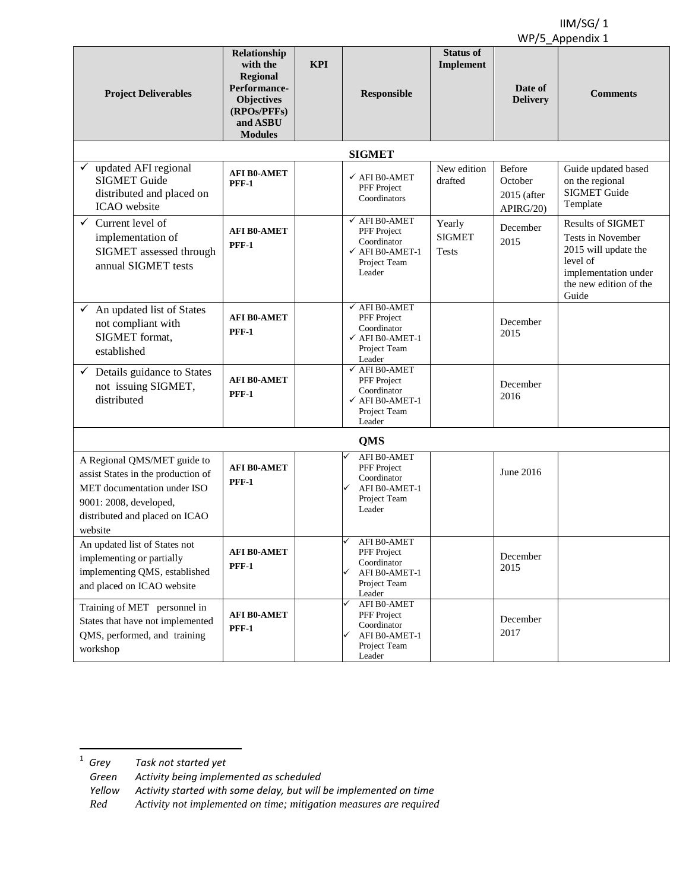|                                                                                                                                                                         |                                                                                                                        |            |                                                                                                                |                                         |                                                | $\cdots$ , $\sim$ $\cdots$ , $\sim$ $\sim$ $\sim$                                                                                            |  |
|-------------------------------------------------------------------------------------------------------------------------------------------------------------------------|------------------------------------------------------------------------------------------------------------------------|------------|----------------------------------------------------------------------------------------------------------------|-----------------------------------------|------------------------------------------------|----------------------------------------------------------------------------------------------------------------------------------------------|--|
| <b>Project Deliverables</b>                                                                                                                                             | Relationship<br>with the<br>Regional<br>Performance-<br><b>Objectives</b><br>(RPOs/PFFs)<br>and ASBU<br><b>Modules</b> | <b>KPI</b> | Responsible                                                                                                    | <b>Status of</b><br>Implement           | Date of<br><b>Delivery</b>                     | <b>Comments</b>                                                                                                                              |  |
|                                                                                                                                                                         |                                                                                                                        |            | <b>SIGMET</b>                                                                                                  |                                         |                                                |                                                                                                                                              |  |
| updated AFI regional<br><b>SIGMET Guide</b><br>distributed and placed on<br>ICAO website                                                                                | <b>AFI B0-AMET</b><br><b>PFF-1</b>                                                                                     |            | $\checkmark$ AFI B0-AMET<br>PFF Project<br>Coordinators                                                        | New edition<br>drafted                  | Before<br>October<br>$2015$ (after<br>APIRG/20 | Guide updated based<br>on the regional<br><b>SIGMET</b> Guide<br>Template                                                                    |  |
| ✓<br>Current level of<br>implementation of<br>SIGMET assessed through<br>annual SIGMET tests                                                                            | <b>AFI B0-AMET</b><br><b>PFF-1</b>                                                                                     |            | $\checkmark$ AFI B0-AMET<br>PFF Project<br>Coordinator<br>$\checkmark$ AFI B0-AMET-1<br>Project Team<br>Leader | Yearly<br><b>SIGMET</b><br><b>Tests</b> | December<br>2015                               | <b>Results of SIGMET</b><br>Tests in November<br>2015 will update the<br>level of<br>implementation under<br>the new edition of the<br>Guide |  |
| $\checkmark$<br>An updated list of States<br>not compliant with<br>SIGMET format.<br>established                                                                        | <b>AFI B0-AMET</b><br><b>PFF-1</b>                                                                                     |            | $\checkmark$ AFI B0-AMET<br>PFF Project<br>Coordinator<br>$\checkmark$ AFI B0-AMET-1<br>Project Team<br>Leader |                                         | December<br>2015                               |                                                                                                                                              |  |
| Details guidance to States<br>✓<br>not issuing SIGMET,<br>distributed                                                                                                   | <b>AFI B0-AMET</b><br><b>PFF-1</b>                                                                                     |            | $\checkmark$ AFI B0-AMET<br>PFF Project<br>Coordinator<br>$\checkmark$ AFI B0-AMET-1<br>Project Team<br>Leader |                                         | December<br>2016                               |                                                                                                                                              |  |
| <b>QMS</b>                                                                                                                                                              |                                                                                                                        |            |                                                                                                                |                                         |                                                |                                                                                                                                              |  |
| A Regional QMS/MET guide to<br>assist States in the production of<br>MET documentation under ISO<br>9001: 2008, developed,<br>distributed and placed on ICAO<br>website | <b>AFI B0-AMET</b><br><b>PFF-1</b>                                                                                     |            | AFI B0-AMET<br>PFF Project<br>Coordinator<br>AFI B0-AMET-1<br>Project Team<br>Leader                           |                                         | June 2016                                      |                                                                                                                                              |  |
| An updated list of States not<br>implementing or partially<br>implementing QMS, established<br>and placed on ICAO website                                               | <b>AFI B0-AMET</b><br><b>PFF-1</b>                                                                                     |            | AFI B0-AMET<br>✓<br>PFF Project<br>Coordinator<br>AFI B0-AMET-1<br>Project Team<br>Leader                      |                                         | December<br>2015                               |                                                                                                                                              |  |
| Training of MET personnel in<br>States that have not implemented<br>QMS, performed, and training<br>workshop                                                            | <b>AFI B0-AMET</b><br><b>PFF-1</b>                                                                                     |            | AFI B0-AMET<br>PFF Project<br>Coordinator<br>AFI B0-AMET-1<br>Project Team<br>Leader                           |                                         | December<br>2017                               |                                                                                                                                              |  |

<sup>1</sup> *Grey Task not started yet*   $1$  Grey

*Green Activity being implemented as scheduled* 

*Yellow Activity started with some delay, but will be implemented on time*

*Red Activity not implemented on time; mitigation measures are required*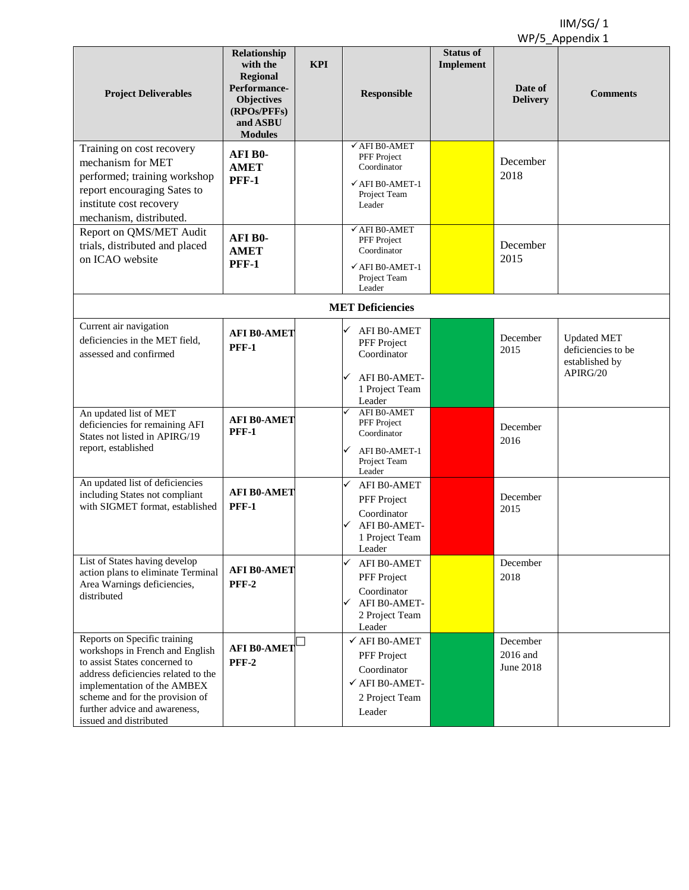|                                                                                                                                                                                                                                                                      |                                                                                                                               |            |                                                                                                                 |                                      |                                   | $\cdots$ , $\sim$ $\cdots$ $\sim$ $\sim$ $\sim$ $\sim$                 |
|----------------------------------------------------------------------------------------------------------------------------------------------------------------------------------------------------------------------------------------------------------------------|-------------------------------------------------------------------------------------------------------------------------------|------------|-----------------------------------------------------------------------------------------------------------------|--------------------------------------|-----------------------------------|------------------------------------------------------------------------|
| <b>Project Deliverables</b>                                                                                                                                                                                                                                          | Relationship<br>with the<br><b>Regional</b><br>Performance-<br><b>Objectives</b><br>(RPOs/PFFs)<br>and ASBU<br><b>Modules</b> | <b>KPI</b> | Responsible                                                                                                     | <b>Status of</b><br><b>Implement</b> | Date of<br><b>Delivery</b>        | <b>Comments</b>                                                        |
| Training on cost recovery<br>mechanism for MET<br>performed; training workshop<br>report encouraging Sates to<br>institute cost recovery<br>mechanism, distributed.                                                                                                  | AFI B0-<br><b>AMET</b><br><b>PFF-1</b>                                                                                        |            | $\checkmark$ AFI B0-AMET<br>PFF Project<br>Coordinator<br>$\checkmark$ AFI B0-AMET-1<br>Project Team<br>Leader  |                                      | December<br>2018                  |                                                                        |
| Report on QMS/MET Audit<br>trials, distributed and placed<br>on ICAO website                                                                                                                                                                                         | AFI B0-<br><b>AMET</b><br><b>PFF-1</b>                                                                                        |            | $\checkmark$ AFI B0-AMET<br>PFF Project<br>Coordinator<br>$\checkmark$ AFI B0-AMET-1<br>Project Team<br>Leader  |                                      | December<br>2015                  |                                                                        |
|                                                                                                                                                                                                                                                                      |                                                                                                                               |            | <b>MET Deficiencies</b>                                                                                         |                                      |                                   |                                                                        |
| Current air navigation<br>deficiencies in the MET field,<br>assessed and confirmed                                                                                                                                                                                   | <b>AFI B0-AMET</b><br><b>PFF-1</b>                                                                                            |            | AFI B0-AMET<br>PFF Project<br>Coordinator<br>AFI B0-AMET-                                                       |                                      | December<br>2015                  | <b>Updated MET</b><br>deficiencies to be<br>established by<br>APIRG/20 |
|                                                                                                                                                                                                                                                                      |                                                                                                                               |            | 1 Project Team<br>Leader                                                                                        |                                      |                                   |                                                                        |
| An updated list of MET<br>deficiencies for remaining AFI<br>States not listed in APIRG/19<br>report, established                                                                                                                                                     | <b>AFI B0-AMET</b><br><b>PFF-1</b>                                                                                            |            | AFI B0-AMET<br>PFF Project<br>Coordinator<br>AFI B0-AMET-1<br>Project Team<br>Leader                            |                                      | December<br>2016                  |                                                                        |
| An updated list of deficiencies<br>including States not compliant<br>with SIGMET format, established                                                                                                                                                                 | <b>AFI B0-AMET</b><br><b>PFF-1</b>                                                                                            |            | AFI B0-AMET<br>PFF Project<br>Coordinator<br>AFI B0-AMET-<br>1 Project Team<br>Leader                           |                                      | December<br>2015                  |                                                                        |
| List of States having develop<br>action plans to eliminate Terminal<br>Area Warnings deficiencies,<br>distributed                                                                                                                                                    | <b>AFI B0-AMET</b><br><b>PFF-2</b>                                                                                            |            | AFI B0-AMET<br>PFF Project<br>Coordinator<br>AFI B0-AMET-<br>2 Project Team<br>Leader                           |                                      | December<br>2018                  |                                                                        |
| Reports on Specific training<br>workshops in French and English<br>to assist States concerned to<br>address deficiencies related to the<br>implementation of the AMBEX<br>scheme and for the provision of<br>further advice and awareness,<br>issued and distributed | <b>AFI B0-AMET</b><br><b>PFF-2</b>                                                                                            |            | $\checkmark$ AFI B0-AMET<br>PFF Project<br>Coordinator<br>$\checkmark$ AFI B0-AMET-<br>2 Project Team<br>Leader |                                      | December<br>2016 and<br>June 2018 |                                                                        |